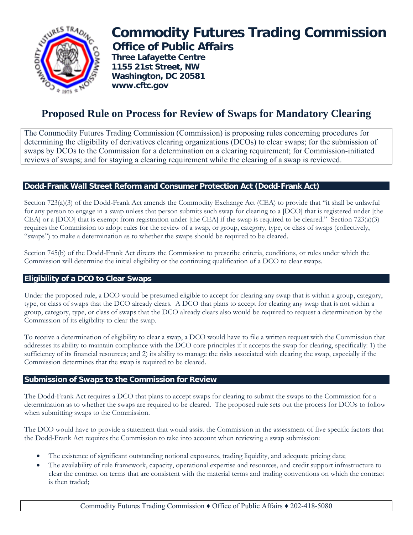

# **Commodity Futures Trading Commission Office of Public Affairs**

 **Three Lafayette Centre 1155 21st Street, NW Washington, DC 20581 www.cftc.gov**

# **Proposed Rule on Process for Review of Swaps for Mandatory Clearing**

The Commodity Futures Trading Commission (Commission) is proposing rules concerning procedures for determining the eligibility of derivatives clearing organizations (DCOs) to clear swaps; for the submission of swaps by DCOs to the Commission for a determination on a clearing requirement; for Commission-initiated reviews of swaps; and for staying a clearing requirement while the clearing of a swap is reviewed.

# **Dodd-Frank Wall Street Reform and Consumer Protection Act (Dodd-Frank Act)**

Section 723(a)(3) of the Dodd-Frank Act amends the Commodity Exchange Act (CEA) to provide that "it shall be unlawful for any person to engage in a swap unless that person submits such swap for clearing to a [DCO] that is registered under [the CEA] or a [DCO] that is exempt from registration under [the CEA] if the swap is required to be cleared." Section 723(a)(3) requires the Commission to adopt rules for the review of a swap, or group, category, type, or class of swaps (collectively, "swaps") to make a determination as to whether the swaps should be required to be cleared.

Section 745(b) of the Dodd-Frank Act directs the Commission to prescribe criteria, conditions, or rules under which the Commission will determine the initial eligibility or the continuing qualification of a DCO to clear swaps.

## **Eligibility of a DCO to Clear Swaps**

Under the proposed rule, a DCO would be presumed eligible to accept for clearing any swap that is within a group, category, type, or class of swaps that the DCO already clears. A DCO that plans to accept for clearing any swap that is not within a group, category, type, or class of swaps that the DCO already clears also would be required to request a determination by the Commission of its eligibility to clear the swap.

To receive a determination of eligibility to clear a swap, a DCO would have to file a written request with the Commission that addresses its ability to maintain compliance with the DCO core principles if it accepts the swap for clearing, specifically: 1) the sufficiency of its financial resources; and 2) its ability to manage the risks associated with clearing the swap, especially if the Commission determines that the swap is required to be cleared.

#### **Submission of Swaps to the Commission for Review**

The Dodd-Frank Act requires a DCO that plans to accept swaps for clearing to submit the swaps to the Commission for a determination as to whether the swaps are required to be cleared. The proposed rule sets out the process for DCOs to follow when submitting swaps to the Commission.

The DCO would have to provide a statement that would assist the Commission in the assessment of five specific factors that the Dodd-Frank Act requires the Commission to take into account when reviewing a swap submission:

- The existence of significant outstanding notional exposures, trading liquidity, and adequate pricing data;
- The availability of rule framework, capacity, operational expertise and resources, and credit support infrastructure to clear the contract on terms that are consistent with the material terms and trading conventions on which the contract is then traded;